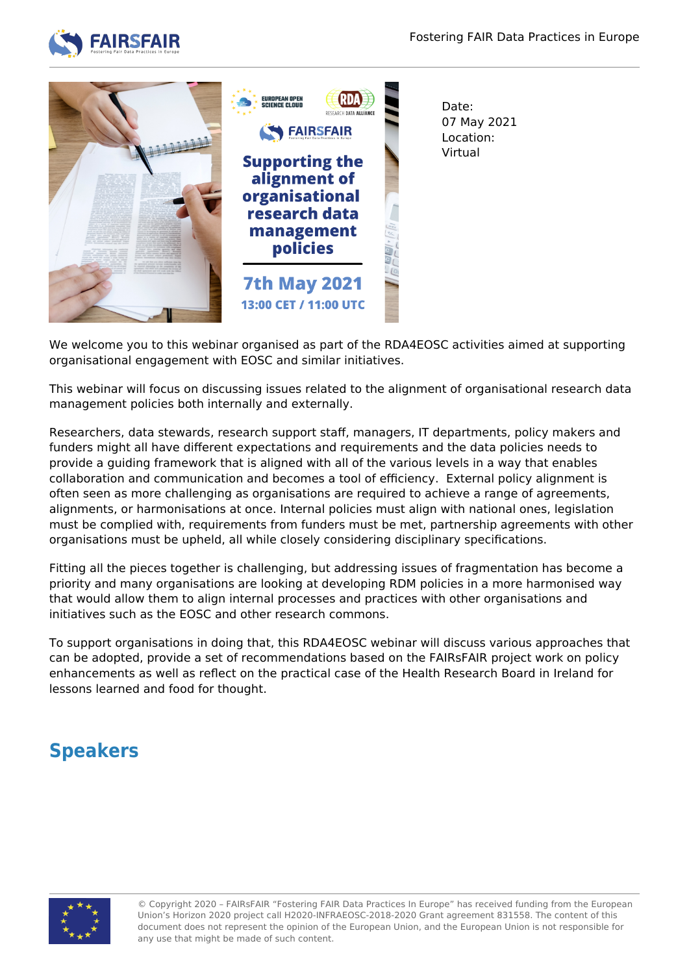



We welcome you to this webinar organised as part of the RDA4EOSC activities aimed at supporting organisational engagement with EOSC and similar initiatives.

This webinar will focus on discussing issues related to the alignment of organisational research data management policies both internally and externally.

Researchers, data stewards, research support staff, managers, IT departments, policy makers and funders might all have different expectations and requirements and the data policies needs to provide a guiding framework that is aligned with all of the various levels in a way that enables collaboration and communication and becomes a tool of efficiency. External policy alignment is often seen as more challenging as organisations are required to achieve a range of agreements, alignments, or harmonisations at once. Internal policies must align with national ones, legislation must be complied with, requirements from funders must be met, partnership agreements with other organisations must be upheld, all while closely considering disciplinary specifications.

Fitting all the pieces together is challenging, but addressing issues of fragmentation has become a priority and many organisations are looking at developing RDM policies in a more harmonised way that would allow them to align internal processes and practices with other organisations and initiatives such as the EOSC and other research commons.

To support organisations in doing that, this RDA4EOSC webinar will discuss various approaches that can be adopted, provide a set of recommendations based on the FAIRsFAIR project work on policy enhancements as well as reflect on the practical case of the Health Research Board in Ireland for lessons learned and food for thought.

## **Speakers**



© Copyright 2020 – FAIRsFAIR "Fostering FAIR Data Practices In Europe" has received funding from the European Union's Horizon 2020 project call H2020-INFRAEOSC-2018-2020 Grant agreement 831558. The content of this document does not represent the opinion of the European Union, and the European Union is not responsible for any use that might be made of such content.